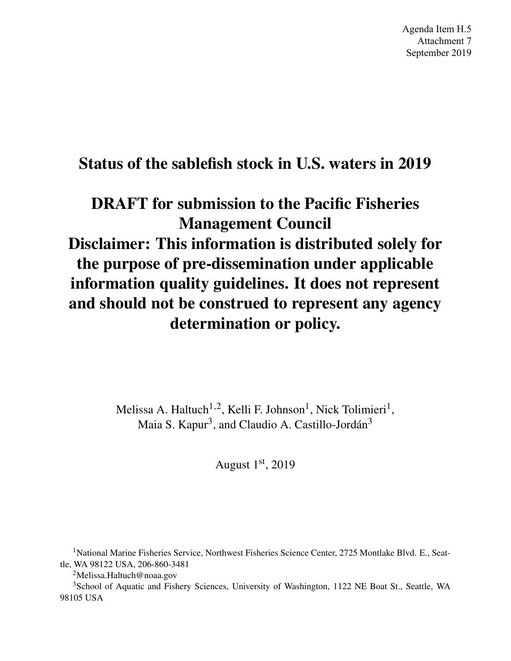Agenda Item H.5 Attachment 7 September 2019

# Status of the sablefish stock in U.S. waters in 2019

# DRAFT for submission to the Pacific Fisheries Management Council Disclaimer: This information is distributed solely for the purpose of pre-dissemination under applicable information quality guidelines. It does not represent and should not be construed to represent any agency determination or policy.

Melissa A. Haltuch<sup>1,2</sup>, Kelli F. Johnson<sup>1</sup>, Nick Tolimieri<sup>1</sup>, Maia S. Kapur<sup>3</sup>, and Claudio A. Castillo-Jordán<sup>3</sup>

August  $1<sup>st</sup>$ , 2019

<sup>1</sup>National Marine Fisheries Service, Northwest Fisheries Science Center, 2725 Montlake Blvd. E., Seattle, WA 98122 USA, 206-860-3481

<sup>2</sup>Melissa.Haltuch@noaa.gov

<sup>3</sup>School of Aquatic and Fishery Sciences, University of Washington, 1122 NE Boat St., Seattle, WA 98105 USA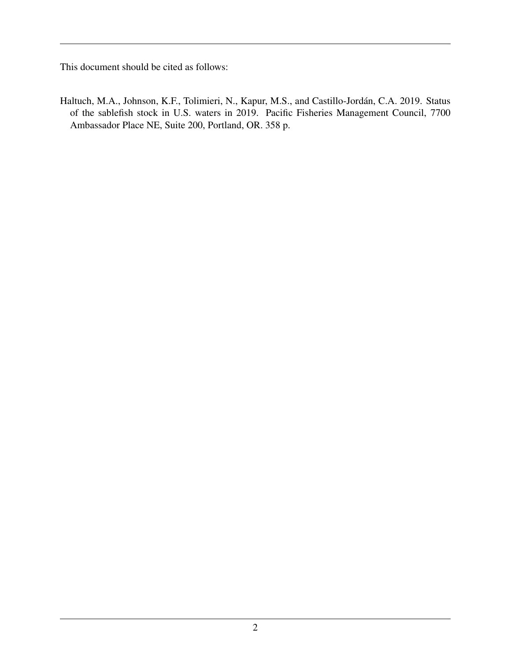This document should be cited as follows:

Haltuch, M.A., Johnson, K.F., Tolimieri, N., Kapur, M.S., and Castillo-Jordán, C.A. 2019. Status of the sablefish stock in U.S. waters in 2019. Pacific Fisheries Management Council, 7700 Ambassador Place NE, Suite 200, Portland, OR. 358 p.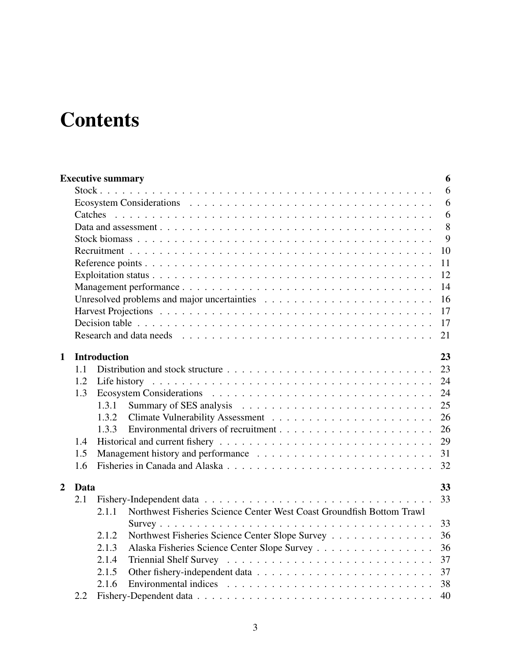# **Contents**

|                |         | <b>Executive summary</b>                                                       | 6  |
|----------------|---------|--------------------------------------------------------------------------------|----|
|                |         |                                                                                | 6  |
|                |         |                                                                                | 6  |
|                | Catches |                                                                                | 6  |
|                |         |                                                                                | 8  |
|                |         |                                                                                | 9  |
|                |         |                                                                                | 10 |
|                |         |                                                                                | 11 |
|                |         |                                                                                | 12 |
|                |         |                                                                                | 14 |
|                |         |                                                                                | 16 |
|                |         |                                                                                | 17 |
|                |         |                                                                                | 17 |
|                |         |                                                                                | 21 |
| 1              |         | <b>Introduction</b>                                                            | 23 |
|                | 1.1     |                                                                                | 23 |
|                | 1.2     |                                                                                | 24 |
|                | 1.3     |                                                                                | 24 |
|                |         | 1.3.1                                                                          | 25 |
|                |         | 1.3.2                                                                          | 26 |
|                |         | 1.3.3                                                                          | 26 |
|                | 1.4     |                                                                                | 29 |
|                | 1.5     |                                                                                | 31 |
|                | 1.6     |                                                                                | 32 |
| $\overline{2}$ | Data    |                                                                                | 33 |
|                | 2.1     |                                                                                | 33 |
|                |         | Northwest Fisheries Science Center West Coast Groundfish Bottom Trawl<br>2.1.1 |    |
|                |         |                                                                                | 33 |
|                |         | Northwest Fisheries Science Center Slope Survey<br>2.1.2                       | 36 |
|                |         | Alaska Fisheries Science Center Slope Survey<br>2.1.3                          | 36 |
|                |         | 2.1.4                                                                          | 37 |
|                |         | 2.1.5                                                                          | 37 |
|                |         | 2.1.6                                                                          | 38 |
|                | 2.2     |                                                                                | 40 |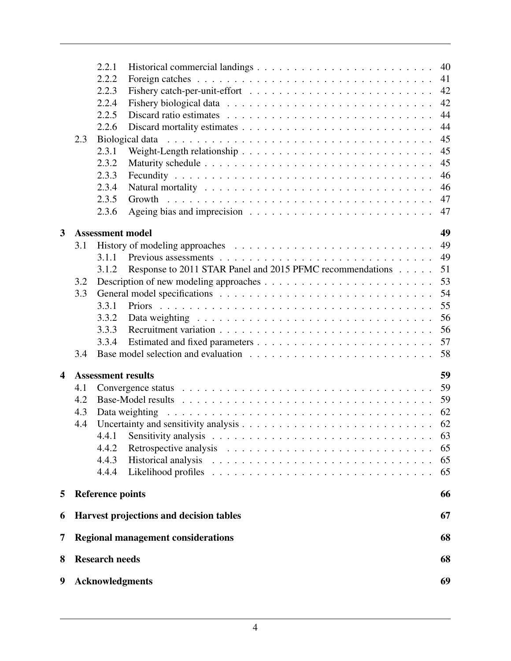|                         | 2.3                                    | 2.2.1<br>2.2.2<br>2.2.3<br>2.2.4<br>2.2.5<br>2.2.6<br>2.3.1<br>2.3.2<br>2.3.3<br>2.3.4<br>2.3.5<br>2.3.6 | Weight-Length relationship $\ldots \ldots \ldots \ldots \ldots \ldots \ldots \ldots \ldots$<br>Growth                                               | 40<br>41<br>42<br>42<br>44<br>44<br>45<br>45<br>45<br>46<br>46<br>47<br>47 |  |  |  |  |
|-------------------------|----------------------------------------|----------------------------------------------------------------------------------------------------------|-----------------------------------------------------------------------------------------------------------------------------------------------------|----------------------------------------------------------------------------|--|--|--|--|
| 3                       |                                        | <b>Assessment model</b>                                                                                  |                                                                                                                                                     | 49                                                                         |  |  |  |  |
| $\overline{\mathbf{4}}$ | 3.1<br>3.2<br>3.3<br>3.4<br>4.1<br>4.2 | 3.1.1<br>3.1.2<br>3.3.1<br>3.3.2<br>3.3.3<br>3.3.4<br><b>Assessment results</b>                          | Response to 2011 STAR Panel and 2015 PFMC recommendations<br>Data weighting $\ldots \ldots \ldots \ldots \ldots \ldots \ldots \ldots \ldots \ldots$ | 49<br>49<br>51<br>53<br>54<br>55<br>56<br>56<br>57<br>58<br>59<br>59<br>59 |  |  |  |  |
|                         | 4.3<br>4.4                             | 4.4.1<br>4.4.2<br>4.4.3<br>4.4.4                                                                         | Data weighting<br>Sensitivity analysis $\ldots \ldots \ldots \ldots \ldots \ldots \ldots \ldots \ldots \ldots$                                      | 62<br>62<br>63<br>65<br>65<br>65                                           |  |  |  |  |
| 5                       |                                        | <b>Reference points</b>                                                                                  |                                                                                                                                                     | 66                                                                         |  |  |  |  |
| 6                       |                                        |                                                                                                          | Harvest projections and decision tables                                                                                                             | 67                                                                         |  |  |  |  |
| 7                       |                                        |                                                                                                          | <b>Regional management considerations</b>                                                                                                           | 68                                                                         |  |  |  |  |
| 8                       |                                        |                                                                                                          |                                                                                                                                                     | 68                                                                         |  |  |  |  |
|                         | <b>Research needs</b><br>69            |                                                                                                          |                                                                                                                                                     |                                                                            |  |  |  |  |
| 9                       | <b>Acknowledgments</b>                 |                                                                                                          |                                                                                                                                                     |                                                                            |  |  |  |  |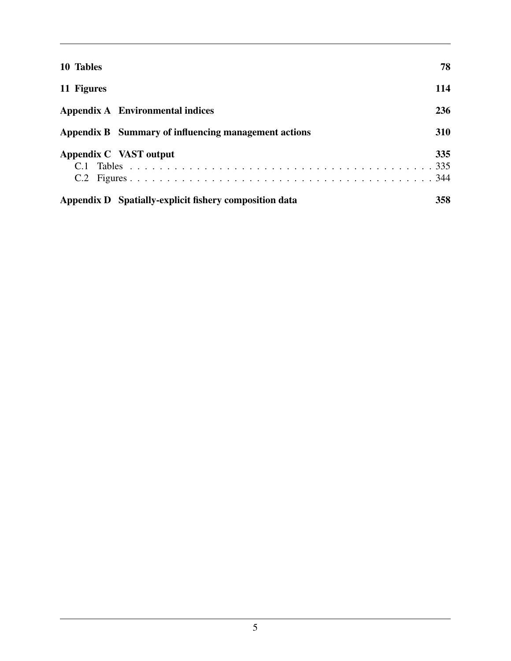| 10 Tables                                              | 78         |
|--------------------------------------------------------|------------|
| 11 Figures                                             | 114        |
| Appendix A Environmental indices                       | 236        |
| Appendix B Summary of influencing management actions   | <b>310</b> |
| Appendix C VAST output<br>C.2                          | 335        |
| Appendix D Spatially-explicit fishery composition data | 358        |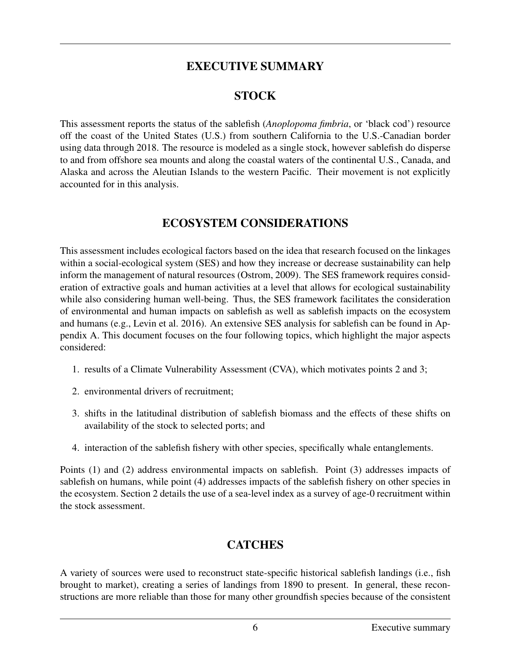### EXECUTIVE SUMMARY

#### **STOCK**

This assessment reports the status of the sablefish (*Anoplopoma fimbria*, or 'black cod') resource off the coast of the United States (U.S.) from southern California to the U.S.-Canadian border using data through 2018. The resource is modeled as a single stock, however sablefish do disperse to and from offshore sea mounts and along the coastal waters of the continental U.S., Canada, and Alaska and across the Aleutian Islands to the western Pacific. Their movement is not explicitly accounted for in this analysis.

#### ECOSYSTEM CONSIDERATIONS

This assessment includes ecological factors based on the idea that research focused on the linkages within a social-ecological system (SES) and how they increase or decrease sustainability can help inform the management of natural resources (Ostrom, 2009). The SES framework requires consideration of extractive goals and human activities at a level that allows for ecological sustainability while also considering human well-being. Thus, the SES framework facilitates the consideration of environmental and human impacts on sablefish as well as sablefish impacts on the ecosystem and humans (e.g., Levin et al. 2016). An extensive SES analysis for sablefish can be found in Appendix A. This document focuses on the four following topics, which highlight the major aspects considered:

- 1. results of a Climate Vulnerability Assessment (CVA), which motivates points 2 and 3;
- 2. environmental drivers of recruitment;
- 3. shifts in the latitudinal distribution of sablefish biomass and the effects of these shifts on availability of the stock to selected ports; and
- 4. interaction of the sablefish fishery with other species, specifically whale entanglements.

Points (1) and (2) address environmental impacts on sablefish. Point (3) addresses impacts of sablefish on humans, while point (4) addresses impacts of the sablefish fishery on other species in the ecosystem. Section 2 details the use of a sea-level index as a survey of age-0 recruitment within the stock assessment.

# **CATCHES**

A variety of sources were used to reconstruct state-specific historical sablefish landings (i.e., fish brought to market), creating a series of landings from 1890 to present. In general, these reconstructions are more reliable than those for many other groundfish species because of the consistent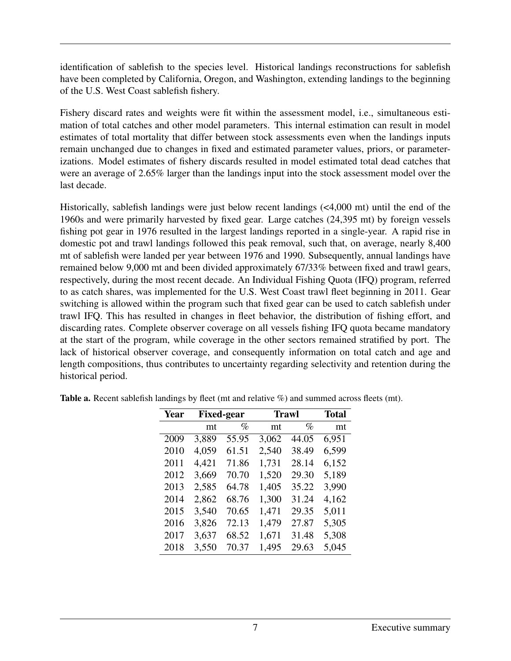identification of sablefish to the species level. Historical landings reconstructions for sablefish have been completed by California, Oregon, and Washington, extending landings to the beginning of the U.S. West Coast sablefish fishery.

Fishery discard rates and weights were fit within the assessment model, i.e., simultaneous estimation of total catches and other model parameters. This internal estimation can result in model estimates of total mortality that differ between stock assessments even when the landings inputs remain unchanged due to changes in fixed and estimated parameter values, priors, or parameterizations. Model estimates of fishery discards resulted in model estimated total dead catches that were an average of 2.65% larger than the landings input into the stock assessment model over the last decade.

Historically, sablefish landings were just below recent landings (<4,000 mt) until the end of the 1960s and were primarily harvested by fixed gear. Large catches (24,395 mt) by foreign vessels fishing pot gear in 1976 resulted in the largest landings reported in a single-year. A rapid rise in domestic pot and trawl landings followed this peak removal, such that, on average, nearly 8,400 mt of sablefish were landed per year between 1976 and 1990. Subsequently, annual landings have remained below 9,000 mt and been divided approximately 67/33% between fixed and trawl gears, respectively, during the most recent decade. An Individual Fishing Quota (IFQ) program, referred to as catch shares, was implemented for the U.S. West Coast trawl fleet beginning in 2011. Gear switching is allowed within the program such that fixed gear can be used to catch sablefish under trawl IFQ. This has resulted in changes in fleet behavior, the distribution of fishing effort, and discarding rates. Complete observer coverage on all vessels fishing IFQ quota became mandatory at the start of the program, while coverage in the other sectors remained stratified by port. The lack of historical observer coverage, and consequently information on total catch and age and length compositions, thus contributes to uncertainty regarding selectivity and retention during the historical period.

| Year |       | <b>Fixed-gear</b> | <b>Trawl</b> | <b>Total</b> |       |
|------|-------|-------------------|--------------|--------------|-------|
|      | mt    | $\%$              | mt           | $\%$         | mt    |
| 2009 | 3,889 | 55.95             | 3,062        | 44.05        | 6,951 |
| 2010 | 4,059 | 61.51             | 2,540        | 38.49        | 6,599 |
| 2011 | 4,421 | 71.86             | 1,731        | 28.14        | 6,152 |
| 2012 | 3,669 | 70.70             | 1,520        | 29.30        | 5,189 |
| 2013 | 2,585 | 64.78             | 1,405        | 35.22        | 3,990 |
| 2014 | 2,862 | 68.76             | 1,300        | 31.24        | 4,162 |
| 2015 | 3,540 | 70.65             | 1,471        | 29.35        | 5,011 |
| 2016 | 3,826 | 72.13             | 1,479        | 27.87        | 5,305 |
| 2017 | 3,637 | 68.52             | 1,671        | 31.48        | 5,308 |
| 2018 | 3,550 | 70.37             | 1,495        | 29.63        | 5,045 |

Table a. Recent sablefish landings by fleet (mt and relative %) and summed across fleets (mt).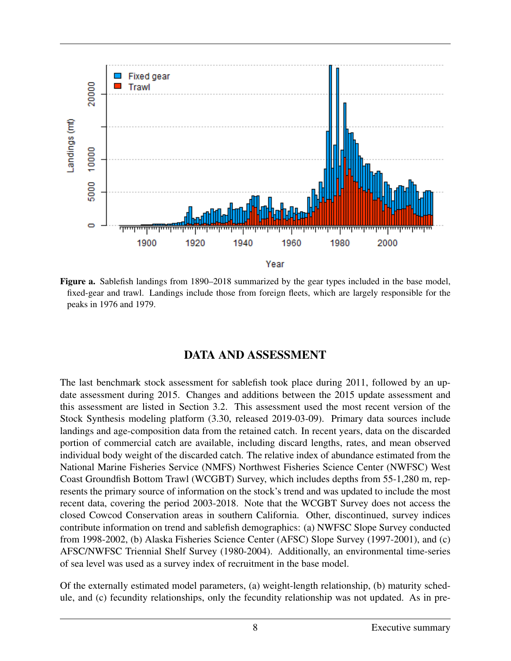

Figure a. Sablefish landings from 1890–2018 summarized by the gear types included in the base model, fixed-gear and trawl. Landings include those from foreign fleets, which are largely responsible for the peaks in 1976 and 1979.

#### DATA AND ASSESSMENT

The last benchmark stock assessment for sablefish took place during 2011, followed by an update assessment during 2015. Changes and additions between the 2015 update assessment and this assessment are listed in Section 3.2. This assessment used the most recent version of the Stock Synthesis modeling platform (3.30, released 2019-03-09). Primary data sources include landings and age-composition data from the retained catch. In recent years, data on the discarded portion of commercial catch are available, including discard lengths, rates, and mean observed individual body weight of the discarded catch. The relative index of abundance estimated from the National Marine Fisheries Service (NMFS) Northwest Fisheries Science Center (NWFSC) West Coast Groundfish Bottom Trawl (WCGBT) Survey, which includes depths from 55-1,280 m, represents the primary source of information on the stock's trend and was updated to include the most recent data, covering the period 2003-2018. Note that the WCGBT Survey does not access the closed Cowcod Conservation areas in southern California. Other, discontinued, survey indices contribute information on trend and sablefish demographics: (a) NWFSC Slope Survey conducted from 1998-2002, (b) Alaska Fisheries Science Center (AFSC) Slope Survey (1997-2001), and (c) AFSC/NWFSC Triennial Shelf Survey (1980-2004). Additionally, an environmental time-series of sea level was used as a survey index of recruitment in the base model.

Of the externally estimated model parameters, (a) weight-length relationship, (b) maturity schedule, and (c) fecundity relationships, only the fecundity relationship was not updated. As in pre-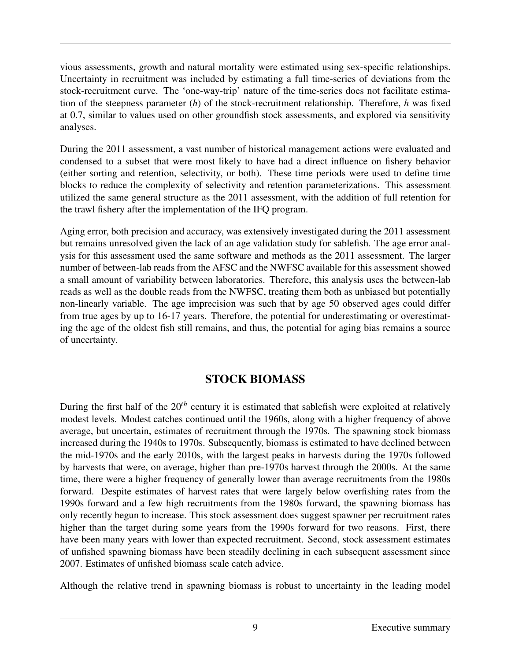vious assessments, growth and natural mortality were estimated using sex-specific relationships. Uncertainty in recruitment was included by estimating a full time-series of deviations from the stock-recruitment curve. The 'one-way-trip' nature of the time-series does not facilitate estimation of the steepness parameter (*h*) of the stock-recruitment relationship. Therefore, *h* was fixed at 0.7, similar to values used on other groundfish stock assessments, and explored via sensitivity analyses.

During the 2011 assessment, a vast number of historical management actions were evaluated and condensed to a subset that were most likely to have had a direct influence on fishery behavior (either sorting and retention, selectivity, or both). These time periods were used to define time blocks to reduce the complexity of selectivity and retention parameterizations. This assessment utilized the same general structure as the 2011 assessment, with the addition of full retention for the trawl fishery after the implementation of the IFQ program.

Aging error, both precision and accuracy, was extensively investigated during the 2011 assessment but remains unresolved given the lack of an age validation study for sablefish. The age error analysis for this assessment used the same software and methods as the 2011 assessment. The larger number of between-lab reads from the AFSC and the NWFSC available for this assessment showed a small amount of variability between laboratories. Therefore, this analysis uses the between-lab reads as well as the double reads from the NWFSC, treating them both as unbiased but potentially non-linearly variable. The age imprecision was such that by age 50 observed ages could differ from true ages by up to 16-17 years. Therefore, the potential for underestimating or overestimating the age of the oldest fish still remains, and thus, the potential for aging bias remains a source of uncertainty.

#### STOCK BIOMASS

During the first half of the 20*th* century it is estimated that sablefish were exploited at relatively modest levels. Modest catches continued until the 1960s, along with a higher frequency of above average, but uncertain, estimates of recruitment through the 1970s. The spawning stock biomass increased during the 1940s to 1970s. Subsequently, biomass is estimated to have declined between the mid-1970s and the early 2010s, with the largest peaks in harvests during the 1970s followed by harvests that were, on average, higher than pre-1970s harvest through the 2000s. At the same time, there were a higher frequency of generally lower than average recruitments from the 1980s forward. Despite estimates of harvest rates that were largely below overfishing rates from the 1990s forward and a few high recruitments from the 1980s forward, the spawning biomass has only recently begun to increase. This stock assessment does suggest spawner per recruitment rates higher than the target during some years from the 1990s forward for two reasons. First, there have been many years with lower than expected recruitment. Second, stock assessment estimates of unfished spawning biomass have been steadily declining in each subsequent assessment since 2007. Estimates of unfished biomass scale catch advice.

Although the relative trend in spawning biomass is robust to uncertainty in the leading model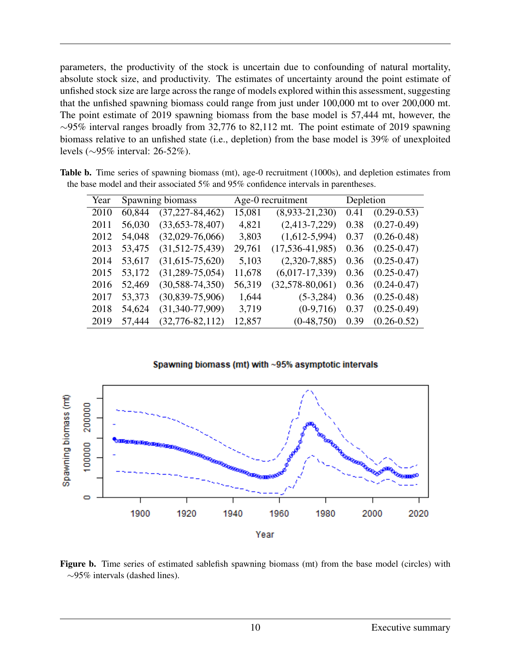parameters, the productivity of the stock is uncertain due to confounding of natural mortality, absolute stock size, and productivity. The estimates of uncertainty around the point estimate of unfished stock size are large across the range of models explored within this assessment, suggesting that the unfished spawning biomass could range from just under 100,000 mt to over 200,000 mt. The point estimate of 2019 spawning biomass from the base model is 57,444 mt, however, the  $\sim$ 95% interval ranges broadly from 32,776 to 82,112 mt. The point estimate of 2019 spawning biomass relative to an unfished state (i.e., depletion) from the base model is 39% of unexploited levels (∼95% interval: 26-52%).

| Year | Spawning biomass |                       | Age-0 recruitment |                       | Depletion |                 |
|------|------------------|-----------------------|-------------------|-----------------------|-----------|-----------------|
| 2010 | 60,844           | $(37, 227 - 84, 462)$ | 15,081            | $(8,933-21,230)$      | 0.41      | $(0.29 - 0.53)$ |
| 2011 | 56,030           | $(33,653-78,407)$     | 4,821             | $(2,413-7,229)$       | 0.38      | $(0.27 - 0.49)$ |
| 2012 | 54,048           | $(32,029-76,066)$     | 3,803             | $(1,612-5,994)$       | 0.37      | $(0.26 - 0.48)$ |
| 2013 | 53,475           | $(31,512-75,439)$     | 29,761            | $(17, 536 - 41, 985)$ | 0.36      | $(0.25 - 0.47)$ |
| 2014 | 53,617           | $(31,615-75,620)$     | 5,103             | $(2,320-7,885)$       | 0.36      | $(0.25 - 0.47)$ |
| 2015 | 53,172           | $(31, 289 - 75, 054)$ | 11,678            | $(6,017-17,339)$      | 0.36      | $(0.25 - 0.47)$ |
| 2016 | 52,469           | $(30, 588 - 74, 350)$ | 56,319            | $(32,578-80,061)$     | 0.36      | $(0.24 - 0.47)$ |
| 2017 | 53,373           | $(30,839-75,906)$     | 1,644             | $(5-3, 284)$          | 0.36      | $(0.25 - 0.48)$ |
| 2018 | 54,624           | $(31,340-77,909)$     | 3,719             | $(0-9,716)$           | 0.37      | $(0.25 - 0.49)$ |
| 2019 | 57,444           | $(32, 776 - 82, 112)$ | 12,857            | $(0-48,750)$          | 0.39      | $(0.26 - 0.52)$ |

Table b. Time series of spawning biomass (mt), age-0 recruitment (1000s), and depletion estimates from the base model and their associated 5% and 95% confidence intervals in parentheses.

Spawning biomass (mt) with ~95% asymptotic intervals



Figure b. Time series of estimated sablefish spawning biomass (mt) from the base model (circles) with ∼95% intervals (dashed lines).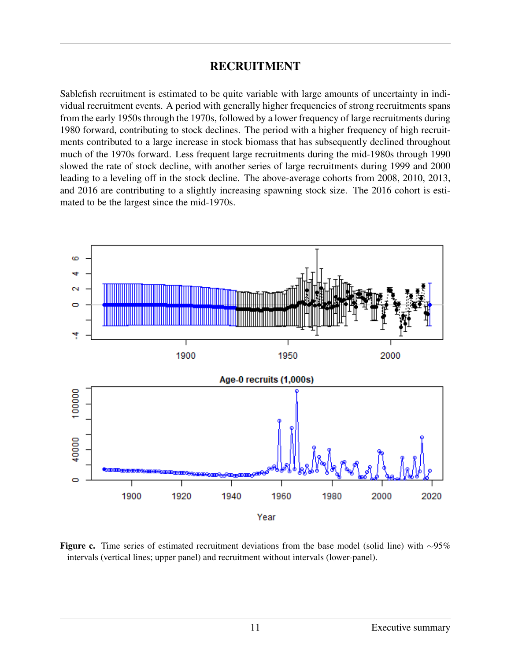#### RECRUITMENT

Sablefish recruitment is estimated to be quite variable with large amounts of uncertainty in individual recruitment events. A period with generally higher frequencies of strong recruitments spans from the early 1950s through the 1970s, followed by a lower frequency of large recruitments during 1980 forward, contributing to stock declines. The period with a higher frequency of high recruitments contributed to a large increase in stock biomass that has subsequently declined throughout much of the 1970s forward. Less frequent large recruitments during the mid-1980s through 1990 slowed the rate of stock decline, with another series of large recruitments during 1999 and 2000 leading to a leveling off in the stock decline. The above-average cohorts from 2008, 2010, 2013, and 2016 are contributing to a slightly increasing spawning stock size. The 2016 cohort is estimated to be the largest since the mid-1970s.



Figure c. Time series of estimated recruitment deviations from the base model (solid line) with ∼95% intervals (vertical lines; upper panel) and recruitment without intervals (lower-panel).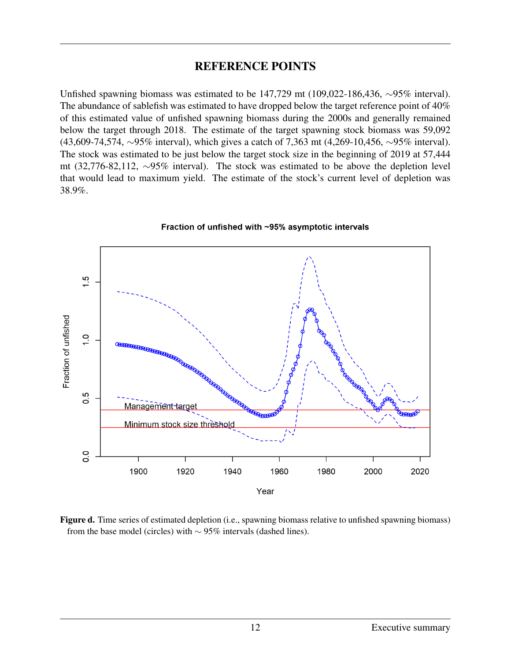#### REFERENCE POINTS

Unfished spawning biomass was estimated to be 147,729 mt (109,022-186,436, ∼95% interval). The abundance of sablefish was estimated to have dropped below the target reference point of 40% of this estimated value of unfished spawning biomass during the 2000s and generally remained below the target through 2018. The estimate of the target spawning stock biomass was 59,092 (43,609-74,574, ∼95% interval), which gives a catch of 7,363 mt (4,269-10,456, ∼95% interval). The stock was estimated to be just below the target stock size in the beginning of 2019 at 57,444 mt (32,776-82,112, ∼95% interval). The stock was estimated to be above the depletion level that would lead to maximum yield. The estimate of the stock's current level of depletion was 38.9%.



Fraction of unfished with ~95% asymptotic intervals

Figure d. Time series of estimated depletion (i.e., spawning biomass relative to unfished spawning biomass) from the base model (circles) with  $\sim$  95% intervals (dashed lines).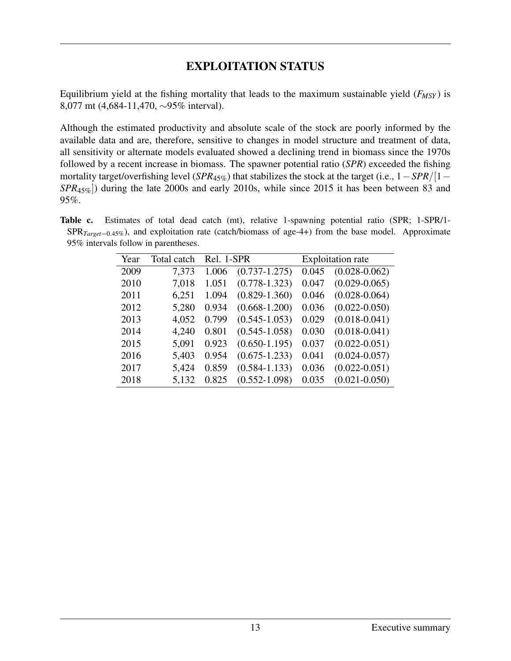#### EXPLOITATION STATUS

Equilibrium yield at the fishing mortality that leads to the maximum sustainable yield (*FMSY* ) is 8,077 mt (4,684-11,470, ∼95% interval).

Although the estimated productivity and absolute scale of the stock are poorly informed by the available data and are, therefore, sensitive to changes in model structure and treatment of data, all sensitivity or alternate models evaluated showed a declining trend in biomass since the 1970s followed by a recent increase in biomass. The spawner potential ratio (*SPR*) exceeded the fishing mortality target/overfishing level (*SPR*45%) that stabilizes the stock at the target (i.e., 1−*SPR*/[1− *SPR*45%]) during the late 2000s and early 2010s, while since 2015 it has been between 83 and 95%.

Table c. Estimates of total dead catch (mt), relative 1-spawning potential ratio (SPR; 1-SPR/1- SPR*Target*=0.45%), and exploitation rate (catch/biomass of age-4+) from the base model. Approximate 95% intervals follow in parentheses.

| Year | Total catch | Rel. 1-SPR |                   | <b>Exploitation rate</b> |                   |  |
|------|-------------|------------|-------------------|--------------------------|-------------------|--|
| 2009 | 7,373       | 1.006      | $(0.737 - 1.275)$ | 0.045                    | $(0.028 - 0.062)$ |  |
| 2010 | 7,018       | 1.051      | $(0.778 - 1.323)$ | 0.047                    | $(0.029 - 0.065)$ |  |
| 2011 | 6,251       | 1.094      | $(0.829 - 1.360)$ | 0.046                    | $(0.028 - 0.064)$ |  |
| 2012 | 5,280       | 0.934      | $(0.668 - 1.200)$ | 0.036                    | $(0.022 - 0.050)$ |  |
| 2013 | 4,052       | 0.799      | $(0.545 - 1.053)$ | 0.029                    | $(0.018 - 0.041)$ |  |
| 2014 | 4,240       | 0.801      | $(0.545 - 1.058)$ | 0.030                    | $(0.018 - 0.041)$ |  |
| 2015 | 5,091       | 0.923      | $(0.650 - 1.195)$ | 0.037                    | $(0.022 - 0.051)$ |  |
| 2016 | 5,403       | 0.954      | $(0.675 - 1.233)$ | 0.041                    | $(0.024 - 0.057)$ |  |
| 2017 | 5,424       | 0.859      | $(0.584 - 1.133)$ | 0.036                    | $(0.022 - 0.051)$ |  |
| 2018 | 5,132       | 0.825      | $(0.552 - 1.098)$ | 0.035                    | $(0.021 - 0.050)$ |  |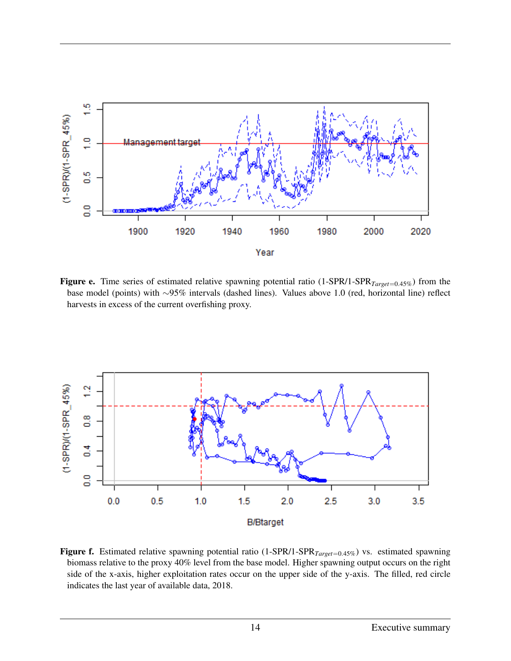

Figure e. Time series of estimated relative spawning potential ratio (1-SPR/1-SPR<sub>Target=0.45%</sub>) from the base model (points) with ∼95% intervals (dashed lines). Values above 1.0 (red, horizontal line) reflect harvests in excess of the current overfishing proxy.



Figure f. Estimated relative spawning potential ratio (1-SPR/1-SPR*Target*=0.45%) vs. estimated spawning biomass relative to the proxy 40% level from the base model. Higher spawning output occurs on the right side of the x-axis, higher exploitation rates occur on the upper side of the y-axis. The filled, red circle indicates the last year of available data, 2018.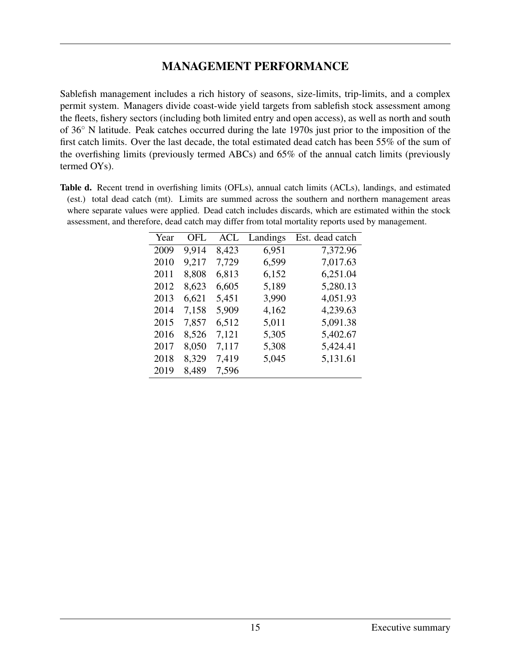#### MANAGEMENT PERFORMANCE

Sablefish management includes a rich history of seasons, size-limits, trip-limits, and a complex permit system. Managers divide coast-wide yield targets from sablefish stock assessment among the fleets, fishery sectors (including both limited entry and open access), as well as north and south of 36◦ N latitude. Peak catches occurred during the late 1970s just prior to the imposition of the first catch limits. Over the last decade, the total estimated dead catch has been 55% of the sum of the overfishing limits (previously termed ABCs) and 65% of the annual catch limits (previously termed OYs).

Table d. Recent trend in overfishing limits (OFLs), annual catch limits (ACLs), landings, and estimated (est.) total dead catch (mt). Limits are summed across the southern and northern management areas where separate values were applied. Dead catch includes discards, which are estimated within the stock assessment, and therefore, dead catch may differ from total mortality reports used by management.

| Year | OFL   | <b>ACL</b> | Landings | Est. dead catch |
|------|-------|------------|----------|-----------------|
| 2009 | 9,914 | 8,423      | 6,951    | 7,372.96        |
| 2010 | 9,217 | 7,729      | 6,599    | 7,017.63        |
| 2011 | 8,808 | 6,813      | 6,152    | 6,251.04        |
| 2012 | 8,623 | 6,605      | 5,189    | 5,280.13        |
| 2013 | 6,621 | 5,451      | 3,990    | 4,051.93        |
| 2014 | 7,158 | 5,909      | 4,162    | 4,239.63        |
| 2015 | 7,857 | 6,512      | 5,011    | 5,091.38        |
| 2016 | 8,526 | 7,121      | 5,305    | 5,402.67        |
| 2017 | 8,050 | 7,117      | 5,308    | 5,424.41        |
| 2018 | 8,329 | 7,419      | 5,045    | 5,131.61        |
| 2019 | 8,489 | 7,596      |          |                 |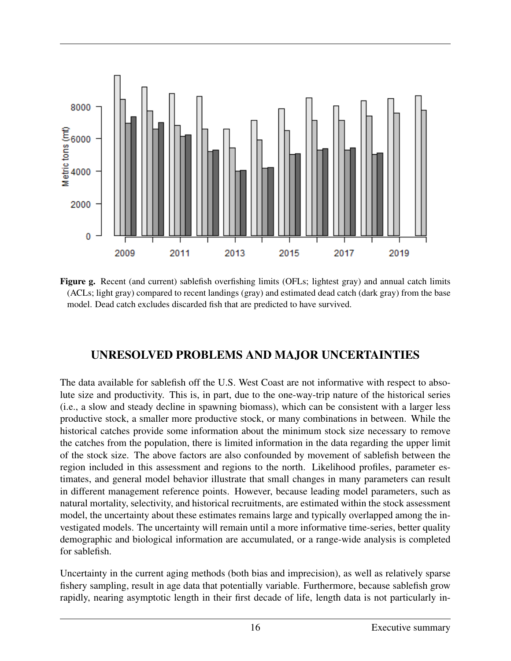

Figure g. Recent (and current) sablefish overfishing limits (OFLs; lightest gray) and annual catch limits (ACLs; light gray) compared to recent landings (gray) and estimated dead catch (dark gray) from the base model. Dead catch excludes discarded fish that are predicted to have survived.

# UNRESOLVED PROBLEMS AND MAJOR UNCERTAINTIES

The data available for sablefish off the U.S. West Coast are not informative with respect to absolute size and productivity. This is, in part, due to the one-way-trip nature of the historical series (i.e., a slow and steady decline in spawning biomass), which can be consistent with a larger less productive stock, a smaller more productive stock, or many combinations in between. While the historical catches provide some information about the minimum stock size necessary to remove the catches from the population, there is limited information in the data regarding the upper limit of the stock size. The above factors are also confounded by movement of sablefish between the region included in this assessment and regions to the north. Likelihood profiles, parameter estimates, and general model behavior illustrate that small changes in many parameters can result in different management reference points. However, because leading model parameters, such as natural mortality, selectivity, and historical recruitments, are estimated within the stock assessment model, the uncertainty about these estimates remains large and typically overlapped among the investigated models. The uncertainty will remain until a more informative time-series, better quality demographic and biological information are accumulated, or a range-wide analysis is completed for sablefish.

Uncertainty in the current aging methods (both bias and imprecision), as well as relatively sparse fishery sampling, result in age data that potentially variable. Furthermore, because sablefish grow rapidly, nearing asymptotic length in their first decade of life, length data is not particularly in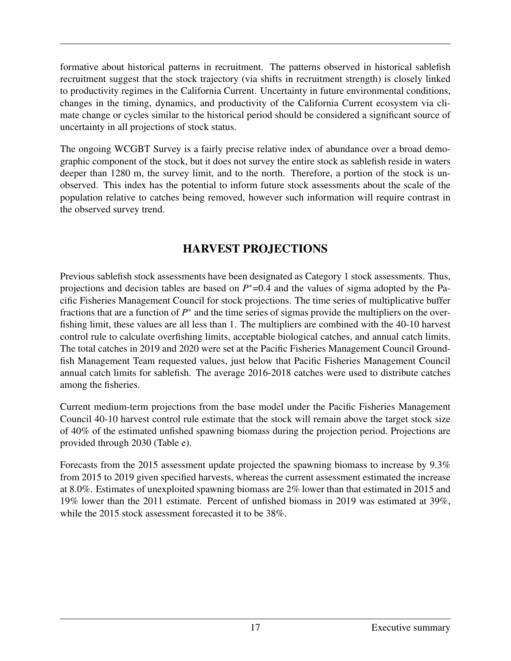formative about historical patterns in recruitment. The patterns observed in historical sablefish recruitment suggest that the stock trajectory (via shifts in recruitment strength) is closely linked to productivity regimes in the California Current. Uncertainty in future environmental conditions, changes in the timing, dynamics, and productivity of the California Current ecosystem via climate change or cycles similar to the historical period should be considered a significant source of uncertainty in all projections of stock status.

The ongoing WCGBT Survey is a fairly precise relative index of abundance over a broad demographic component of the stock, but it does not survey the entire stock as sablefish reside in waters deeper than 1280 m, the survey limit, and to the north. Therefore, a portion of the stock is unobserved. This index has the potential to inform future stock assessments about the scale of the population relative to catches being removed, however such information will require contrast in the observed survey trend.

# HARVEST PROJECTIONS

Previous sablefish stock assessments have been designated as Category 1 stock assessments. Thus, projections and decision tables are based on  $P^*$ =0.4 and the values of sigma adopted by the Pacific Fisheries Management Council for stock projections. The time series of multiplicative buffer fractions that are a function of  $P^*$  and the time series of sigmas provide the multipliers on the overfishing limit, these values are all less than 1. The multipliers are combined with the 40-10 harvest control rule to calculate overfishing limits, acceptable biological catches, and annual catch limits. The total catches in 2019 and 2020 were set at the Pacific Fisheries Management Council Groundfish Management Team requested values, just below that Pacific Fisheries Management Council annual catch limits for sablefish. The average 2016-2018 catches were used to distribute catches among the fisheries.

Current medium-term projections from the base model under the Pacific Fisheries Management Council 40-10 harvest control rule estimate that the stock will remain above the target stock size of 40% of the estimated unfished spawning biomass during the projection period. Projections are provided through 2030 (Table e).

Forecasts from the 2015 assessment update projected the spawning biomass to increase by 9.3% from 2015 to 2019 given specified harvests, whereas the current assessment estimated the increase at 8.0%. Estimates of unexploited spawning biomass are 2% lower than that estimated in 2015 and 19% lower than the 2011 estimate. Percent of unfished biomass in 2019 was estimated at 39%, while the 2015 stock assessment forecasted it to be 38%.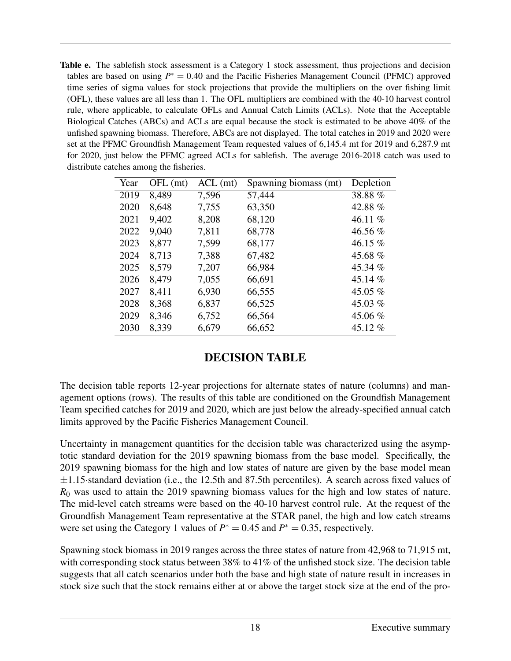Table e. The sablefish stock assessment is a Category 1 stock assessment, thus projections and decision tables are based on using  $P^* = 0.40$  and the Pacific Fisheries Management Council (PFMC) approved time series of sigma values for stock projections that provide the multipliers on the over fishing limit (OFL), these values are all less than 1. The OFL multipliers are combined with the 40-10 harvest control rule, where applicable, to calculate OFLs and Annual Catch Limits (ACLs). Note that the Acceptable Biological Catches (ABCs) and ACLs are equal because the stock is estimated to be above 40% of the unfished spawning biomass. Therefore, ABCs are not displayed. The total catches in 2019 and 2020 were set at the PFMC Groundfish Management Team requested values of 6,145.4 mt for 2019 and 6,287.9 mt for 2020, just below the PFMC agreed ACLs for sablefish. The average 2016-2018 catch was used to distribute catches among the fisheries.

| Year | $OFL$ (mt) | $ACL$ (mt) | Spawning biomass (mt) | Depletion |
|------|------------|------------|-----------------------|-----------|
| 2019 | 8,489      | 7,596      | 57,444                | 38.88 %   |
| 2020 | 8,648      | 7,755      | 63,350                | 42.88 %   |
| 2021 | 9,402      | 8,208      | 68,120                | 46.11 $%$ |
| 2022 | 9,040      | 7,811      | 68,778                | 46.56 %   |
| 2023 | 8,877      | 7,599      | 68,177                | 46.15 %   |
| 2024 | 8,713      | 7,388      | 67,482                | 45.68 %   |
| 2025 | 8,579      | 7,207      | 66,984                | 45.34 %   |
| 2026 | 8,479      | 7,055      | 66,691                | 45.14 %   |
| 2027 | 8,411      | 6,930      | 66,555                | 45.05 $%$ |
| 2028 | 8,368      | 6,837      | 66,525                | 45.03 $%$ |
| 2029 | 8,346      | 6,752      | 66,564                | 45.06 %   |
| 2030 | 8,339      | 6,679      | 66,652                | 45.12 %   |

#### DECISION TABLE

The decision table reports 12-year projections for alternate states of nature (columns) and management options (rows). The results of this table are conditioned on the Groundfish Management Team specified catches for 2019 and 2020, which are just below the already-specified annual catch limits approved by the Pacific Fisheries Management Council.

Uncertainty in management quantities for the decision table was characterized using the asymptotic standard deviation for the 2019 spawning biomass from the base model. Specifically, the 2019 spawning biomass for the high and low states of nature are given by the base model mean  $\pm$ 1.15·standard deviation (i.e., the 12.5th and 87.5th percentiles). A search across fixed values of *R*<sup>0</sup> was used to attain the 2019 spawning biomass values for the high and low states of nature. The mid-level catch streams were based on the 40-10 harvest control rule. At the request of the Groundfish Management Team representative at the STAR panel, the high and low catch streams were set using the Category 1 values of  $P^* = 0.45$  and  $P^* = 0.35$ , respectively.

Spawning stock biomass in 2019 ranges across the three states of nature from 42,968 to 71,915 mt, with corresponding stock status between 38% to 41% of the unfished stock size. The decision table suggests that all catch scenarios under both the base and high state of nature result in increases in stock size such that the stock remains either at or above the target stock size at the end of the pro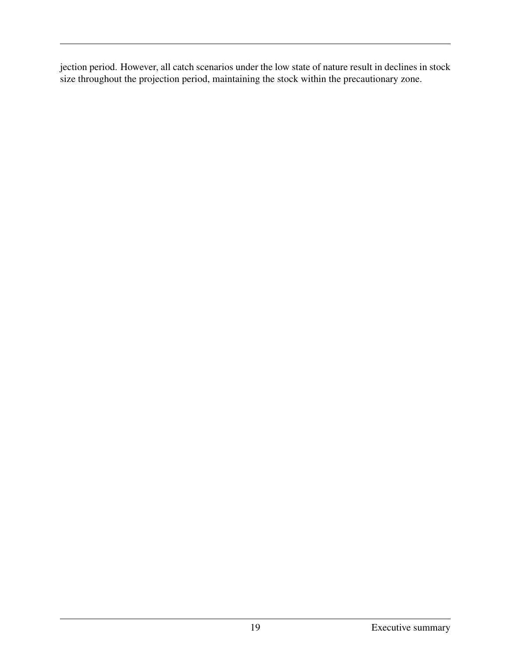jection period. However, all catch scenarios under the low state of nature result in declines in stock size throughout the projection period, maintaining the stock within the precautionary zone.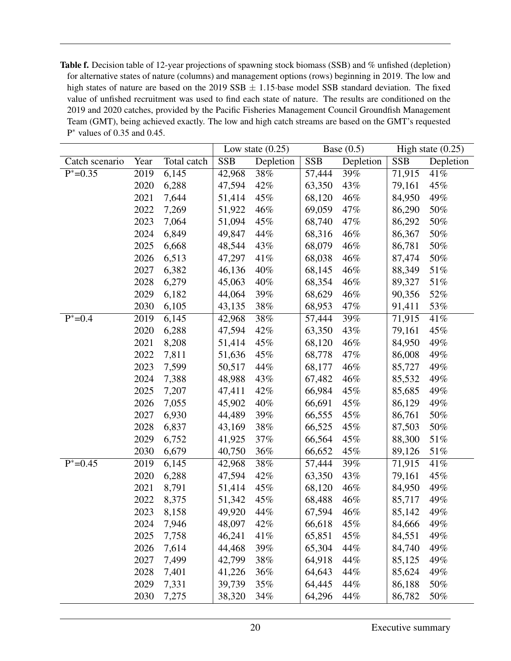Table f. Decision table of 12-year projections of spawning stock biomass (SSB) and % unfished (depletion) for alternative states of nature (columns) and management options (rows) beginning in 2019. The low and high states of nature are based on the 2019 SSB  $\pm$  1.15 base model SSB standard deviation. The fixed value of unfished recruitment was used to find each state of nature. The results are conditioned on the 2019 and 2020 catches, provided by the Pacific Fisheries Management Council Groundfish Management Team (GMT), being achieved exactly. The low and high catch streams are based on the GMT's requested P <sup>∗</sup> values of 0.35 and 0.45.

|                |      |             |            | Low state $(0.25)$ |            | Base $(0.5)$ |            | High state $(0.25)$ |
|----------------|------|-------------|------------|--------------------|------------|--------------|------------|---------------------|
| Catch scenario | Year | Total catch | <b>SSB</b> | Depletion          | <b>SSB</b> | Depletion    | <b>SSB</b> | Depletion           |
| $P^* = 0.35$   | 2019 | 6,145       | 42,968     | 38%                | 57,444     | 39%          | 71,915     | 41%                 |
|                | 2020 | 6,288       | 47,594     | 42%                | 63,350     | 43%          | 79,161     | 45%                 |
|                | 2021 | 7,644       | 51,414     | 45%                | 68,120     | 46%          | 84,950     | 49%                 |
|                | 2022 | 7,269       | 51,922     | 46%                | 69,059     | 47%          | 86,290     | 50%                 |
|                | 2023 | 7,064       | 51,094     | 45%                | 68,740     | 47%          | 86,292     | 50%                 |
|                | 2024 | 6,849       | 49,847     | 44%                | 68,316     | 46%          | 86,367     | 50%                 |
|                | 2025 | 6,668       | 48,544     | 43%                | 68,079     | 46%          | 86,781     | 50%                 |
|                | 2026 | 6,513       | 47,297     | 41%                | 68,038     | 46%          | 87,474     | 50%                 |
|                | 2027 | 6,382       | 46,136     | 40%                | 68,145     | 46%          | 88,349     | 51%                 |
|                | 2028 | 6,279       | 45,063     | 40%                | 68,354     | 46%          | 89,327     | 51%                 |
|                | 2029 | 6,182       | 44,064     | 39%                | 68,629     | 46%          | 90,356     | 52%                 |
|                | 2030 | 6,105       | 43,135     | 38%                | 68,953     | 47%          | 91,411     | 53%                 |
| $P^* = 0.4$    | 2019 | 6,145       | 42,968     | 38%                | 57,444     | 39%          | 71,915     | 41%                 |
|                | 2020 | 6,288       | 47,594     | 42%                | 63,350     | 43%          | 79,161     | 45%                 |
|                | 2021 | 8,208       | 51,414     | 45%                | 68,120     | 46%          | 84,950     | 49%                 |
|                | 2022 | 7,811       | 51,636     | 45%                | 68,778     | 47%          | 86,008     | 49%                 |
|                | 2023 | 7,599       | 50,517     | 44%                | 68,177     | 46%          | 85,727     | 49%                 |
|                | 2024 | 7,388       | 48,988     | 43%                | 67,482     | 46%          | 85,532     | 49%                 |
|                | 2025 | 7,207       | 47,411     | 42%                | 66,984     | 45%          | 85,685     | 49%                 |
|                | 2026 | 7,055       | 45,902     | 40%                | 66,691     | 45%          | 86,129     | 49%                 |
|                | 2027 | 6,930       | 44,489     | 39%                | 66,555     | 45%          | 86,761     | 50%                 |
|                | 2028 | 6,837       | 43,169     | 38%                | 66,525     | 45%          | 87,503     | 50%                 |
|                | 2029 | 6,752       | 41,925     | 37%                | 66,564     | 45%          | 88,300     | 51%                 |
|                | 2030 | 6,679       | 40,750     | 36%                | 66,652     | 45%          | 89,126     | 51%                 |
| $P^* = 0.45$   | 2019 | 6,145       | 42,968     | 38%                | 57,444     | 39%          | 71,915     | 41%                 |
|                | 2020 | 6,288       | 47,594     | 42%                | 63,350     | 43%          | 79,161     | 45%                 |
|                | 2021 | 8,791       | 51,414     | 45%                | 68,120     | 46%          | 84,950     | 49%                 |
|                | 2022 | 8,375       | 51,342     | 45%                | 68,488     | 46%          | 85,717     | 49%                 |
|                | 2023 | 8,158       | 49,920     | 44%                | 67,594     | 46%          | 85,142     | 49%                 |
|                | 2024 | 7,946       | 48,097     | 42%                | 66,618     | 45%          | 84,666     | 49%                 |
|                | 2025 | 7,758       | 46,241     | 41%                | 65,851     | 45%          | 84,551     | 49%                 |
|                | 2026 | 7,614       | 44,468     | 39%                | 65,304     | 44%          | 84,740     | 49%                 |
|                | 2027 | 7,499       | 42,799     | 38%                | 64,918     | 44%          | 85,125     | 49%                 |
|                | 2028 | 7,401       | 41,226     | 36%                | 64,643     | 44%          | 85,624     | 49%                 |
|                | 2029 | 7,331       | 39,739     | 35%                | 64,445     | 44%          | 86,188     | 50%                 |
|                | 2030 | 7,275       | 38,320     | 34%                | 64,296     | 44%          | 86,782     | 50%                 |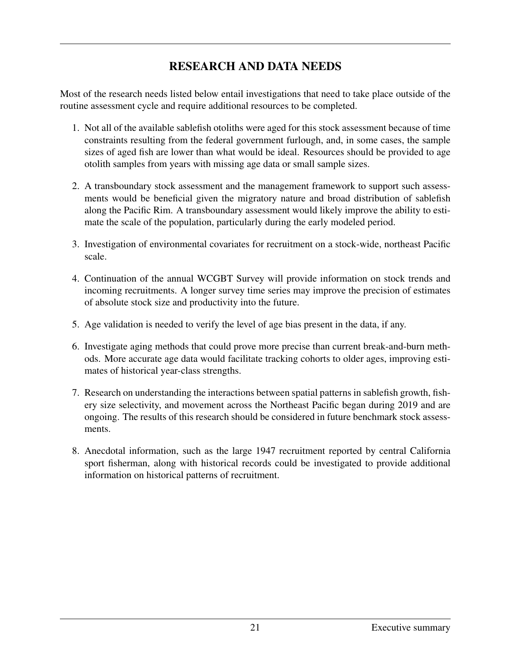# RESEARCH AND DATA NEEDS

Most of the research needs listed below entail investigations that need to take place outside of the routine assessment cycle and require additional resources to be completed.

- 1. Not all of the available sablefish otoliths were aged for this stock assessment because of time constraints resulting from the federal government furlough, and, in some cases, the sample sizes of aged fish are lower than what would be ideal. Resources should be provided to age otolith samples from years with missing age data or small sample sizes.
- 2. A transboundary stock assessment and the management framework to support such assessments would be beneficial given the migratory nature and broad distribution of sablefish along the Pacific Rim. A transboundary assessment would likely improve the ability to estimate the scale of the population, particularly during the early modeled period.
- 3. Investigation of environmental covariates for recruitment on a stock-wide, northeast Pacific scale.
- 4. Continuation of the annual WCGBT Survey will provide information on stock trends and incoming recruitments. A longer survey time series may improve the precision of estimates of absolute stock size and productivity into the future.
- 5. Age validation is needed to verify the level of age bias present in the data, if any.
- 6. Investigate aging methods that could prove more precise than current break-and-burn methods. More accurate age data would facilitate tracking cohorts to older ages, improving estimates of historical year-class strengths.
- 7. Research on understanding the interactions between spatial patterns in sablefish growth, fishery size selectivity, and movement across the Northeast Pacific began during 2019 and are ongoing. The results of this research should be considered in future benchmark stock assessments.
- 8. Anecdotal information, such as the large 1947 recruitment reported by central California sport fisherman, along with historical records could be investigated to provide additional information on historical patterns of recruitment.